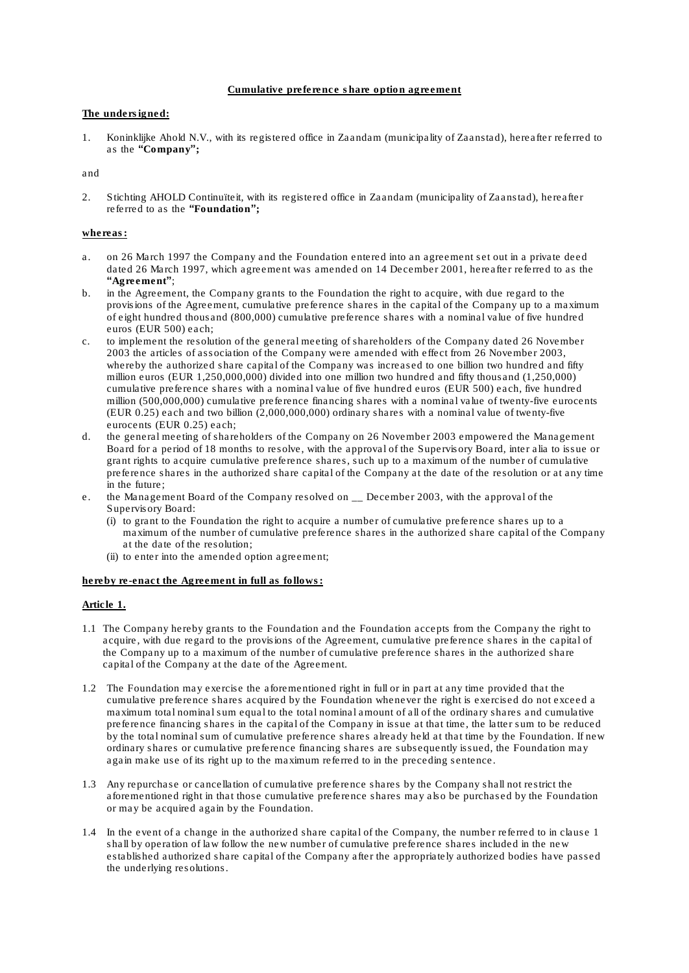### Cumulative preference share option agreement

#### The undersigned:

1. Koninklijke Ahold N.V., with its registered office in Zaandam (municipality of Zaanstad), hereafter referred to as the "Company";

#### and

2. Stichting AHOLD Continuïteit, with its registered office in Zaandam (municipality of Zaanstad), hereafter referred to as the "Foundation";

### whereas:

- a. on 26 March 1997 the Company and the Foundation entered into an agreement set out in a private deed dated 26 March 1997, which agreement was amended on 14 December 2001, hereafter referred to as the "Agreement";
- b. in the Agreement, the Company grants to the Foundation the right to acquire, with due regard to the provisions of the Agreement, cumulative preference shares in the capital of the Company up to a maximum of eight hundred thousand (800,000) cumulative preference shares with a nominal value of five hundred euros (EUR 500) each;
- c. to implement the resolution of the general meeting of shareholders of the Company dated 26 November 2003 the articles of association of the Company were amended with effect from 26 November 2003, whereby the authorized share capital of the Company was increased to one billion two hundred and fifty million euros (EUR 1,250,000,000) divided into one million two hundred and fifty thousand (1,250,000) cumulative preference shares with a nominal value of five hundred euros (EUR 500) each, five hundred million (500,000,000) cumulative preference financing shares with a nominal value of twenty-five eurocents (EUR 0.25) each and two billion (2,000,000,000) ordinary shares with a nominal value of twenty-five eurocents (EUR 0.25) each;
- d. the general meeting of shareholders of the Company on 26 November 2003 empowered the Management Board for a period of 18 months to resolve, with the approval of the Supervisory Board, *inter alia* to issue or grant rights to acquire cumulative preference shares, such up to a maximum of the number of cumulative preference shares in the authorized share capital of the Company at the date of the resolution or at any time in the future;
- e. the Management Board of the Company resolved on \_\_ December 2003, with the approval of the Supervisory Board:
	- (i) to grant to the Foundation the right to acquire a number of cumulative preference shares up to a maximum of the number of cumulative preference shares in the authorized share capital of the Company at the date of the resolution;
	- (ii) to enter into the amended option agreement;

#### hereby re-enact the Agreement in full as follows:

# Article 1.

- 1.1 The Company hereby grants to the Foundation and the Foundation accepts from the Company the right to acquire, with due regard to the provisions of the Agreement, cumulative preference shares in the capital of the Company up to a maximum of the number of cumulative preference shares in the authorized share capital of the Company at the date of the Agreement.
- 1.2 The Foundation may exercise the aforementioned right in full or in part at any time provided that the cumulative preference shares acquired by the Foundation whenever the right is exercised do not exceed a maximum total nominal sum equal to the total nominal amount of all of the ordinary shares and cumulative preference financing shares in the capital of the Company in issue at that time, the latter sum to be reduced by the total nominal sum of cumulative preference shares already held at that time by the Foundation. If new ordinary shares or cumulative preference financing shares are subsequently issued, the Foundation may again make use of its right up to the maximum referred to in the preceding sentence.
- 1.3 Any repurchase or cancellation of cumulative preference shares by the Company shall not restrict the aforementioned right in that those cumulative preference shares may also be purchased by the Foundation or may be acquired again by the Foundation.
- 1.4 In the event of a change in the authorized share capital of the Company, the number referred to in clause 1 shall by operation of law follow the new number of cumulative preference shares included in the new established authorized share capital of the Company after the appropriately authorized bodies have passed the underlying resolutions.